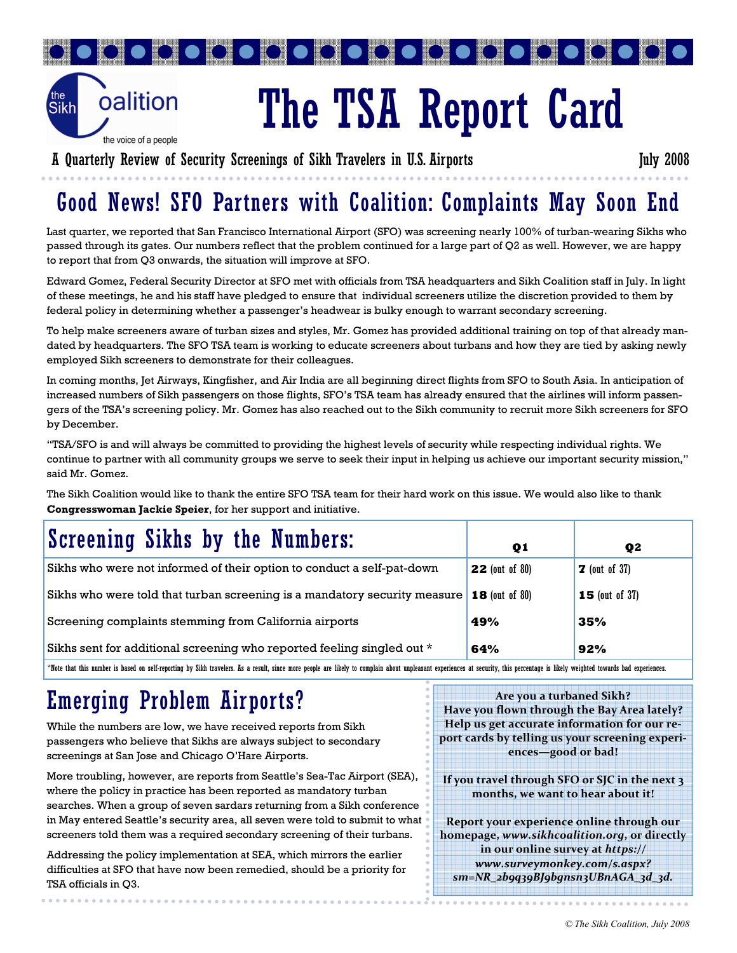

# The TSA Report Card

 $\bullet$ 

A Quarterly Review of Security Screenings of Sikh Travelers in U.S. Airports July 2008

 $\bullet$ 

## Good News! SFO Partners with Coalition: Complaints May Soon End

Last quarter, we reported that San Francisco International Airport (SFO) was screening nearly 100% of turban-wearing Sikhs who passed through its gates. Our numbers reflect that the problem continued for a large part of Q2 as well. However, we are happy to report that from Q3 onwards, the situation will improve at SFO.

Edward Gomez, Federal Security Director at SFO met with officials from TSA headquarters and Sikh Coalition staff in July. In light of these meetings, he and his staff have pledged to ensure that individual screeners utilize the discretion provided to them by federal policy in determining whether a passenger's headwear is bulky enough to warrant secondary screening.

To help make screeners aware of turban sizes and styles, Mr. Gomez has provided additional training on top of that already mandated by headquarters. The SFO TSA team is working to educate screeners about turbans and how they are tied by asking newly employed Sikh screeners to demonstrate for their colleagues.

In coming months, Jet Airways, Kingfisher, and Air India are all beginning direct flights from SFO to South Asia. In anticipation of increased numbers of Sikh passengers on those flights, SFO's TSA team has already ensured that the airlines will inform passengers of the TSA's screening policy. Mr. Gomez has also reached out to the Sikh community to recruit more Sikh screeners for SFO by December.

"TSA/SFO is and will always be committed to providing the highest levels of security while respecting individual rights. We continue to partner with all community groups we serve to seek their input in helping us achieve our important security mission," said Mr. Gomez.

The Sikh Coalition would like to thank the entire SFO TSA team for their hard work on this issue. We would also like to thank Congresswoman Jackie Speier, for her support and initiative.

| Screening Sikhs by the Numbers:                                           | $\mathbf{Q}$ 1         | Q <sub>2</sub>             |
|---------------------------------------------------------------------------|------------------------|----------------------------|
| Sikhs who were not informed of their option to conduct a self-pat-down    | <b>22</b> (out of 80)  | $\overline{Z}$ (out of 37) |
| Sikhs who were told that turban screening is a mandatory security measure | $\vert$ 18 (out of 80) | <b>15</b> (out of $37$ )   |
| Screening complaints stemming from California airports                    | 49%                    | 35%                        |
| Sikhs sent for additional screening who reported feeling singled out *    | 64%                    | 92%                        |

\*Note that this number is based on self-reporting by Sikh travelers. As a result, since more people are likely to complain about unpleasant experiences at security, this percentage is likely weighted towards bad experiences.

# Emerging Problem Airports?

While the numbers are low, we have received reports from Sikh passengers who believe that Sikhs are always subject to secondary screenings at San Jose and Chicago O'Hare Airports.

More troubling, however, are reports from Seattle's Sea-Tac Airport (SEA), where the policy in practice has been reported as mandatory turban searches. When a group of seven sardars returning from a Sikh conference in May entered Seattle's security area, all seven were told to submit to what screeners told them was a required secondary screening of their turbans.

Addressing the policy implementation at SEA, which mirrors the earlier difficulties at SFO that have now been remedied, should be a priority for TSA officials in Q3.

Are you a turbaned Sikh? Have you flown through the Bay Area lately? Help us get accurate information for our report cards by telling us your screening experiences—good or bad!

If you travel through SFO or SJC in the next 3 months, we want to hear about it!

Report your experience online through our homepage, www.sikhcoalition.org, or directly in our online survey at https:// www.surveymonkey.com/s.aspx? sm=NR\_2b9q39BJ9bgnsn3UBnAGA\_3d\_3d.